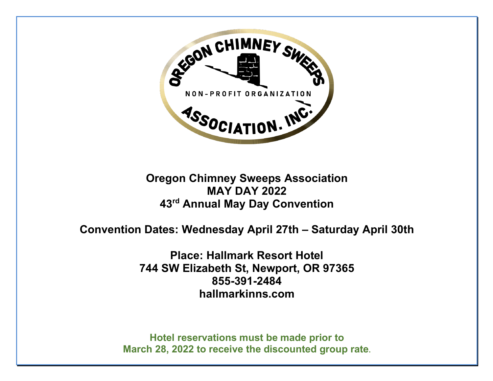

# **Oregon Chimney Sweeps Association MAY DAY 2022 43rd Annual May Day Convention**

# **Convention Dates: Wednesday April 27th – Saturday April 30th**

**Place: Hallmark Resort Hotel 744 SW Elizabeth St, Newport, OR 97365 855-391-2484 hallmarkinns.com**

**Hotel reservations must be made prior to March 28, 2022 to receive the discounted group rate.**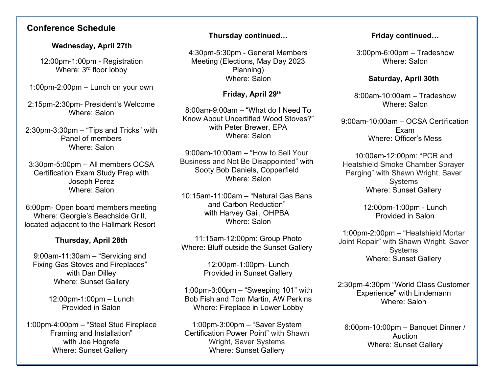## **Conference Schedule**

#### **Wednesday, April 27th**

12:00pm-1:00pm - Registration Where: 3<sup>rd</sup> floor lobby

1:00pm-2:00pm – Lunch on your own

2:15pm-2:30pm- President's Welcome Where: Salon

2:30pm-3:30pm – "Tips and Tricks" with Panel of members Where: Salon

3:30pm-5:00pm – All members OCSA Certification Exam Study Prep with Joseph Perez Where: Salon

6:00pm- Open board members meeting Where: Georgie's Beachside Grill, located adjacent to the Hallmark Resort

### **Thursday, April 28th**

9:00am-11:30am – "Servicing and Fixing Gas Stoves and Fireplaces" with Dan Dilley Where: Sunset Gallery

> 12:00pm-1:00pm – Lunch Provided in Salon

1:00pm-4:00pm – "Steel Stud Fireplace Framing and Installation" with Joe Hogrefe Where: Sunset Gallery

### **Thursday continued…**

4:30pm-5:30pm - General Members Meeting (Elections, May Day 2023 Planning) Where: Salon

#### **Friday, April 29th**

8:00am-9:00am – "What do I Need To Know About Uncertified Wood Stoves?" with Peter Brewer, EPA Where: Salon

9:00am-10:00am – "How to Sell Your Business and Not Be Disappointed" with Sooty Bob Daniels, Copperfield Where: Salon

10:15am-11:00am – "Natural Gas Bans and Carbon Reduction" with Harvey Gail, OHPBA Where: Salon

11:15am-12:00pm: Group Photo Where: Bluff outside the Sunset Gallery

> 12:00pm-1:00pm- Lunch Provided in Sunset Gallery

1:00pm-3:00pm – "Sweeping 101" with Bob Fish and Tom Martin, AW Perkins Where: Fireplace in Lower Lobby

1:00pm-3:00pm – "Saver System Certification Power Point" with Shawn Wright, Saver Systems Where: Sunset Gallery

#### **Friday continued…**

3:00pm-6:00pm – Tradeshow Where: Salon

#### **Saturday, April 30th**

8:00am-10:00am – Tradeshow Where: Salon

9:00am-10:00am – OCSA Certification Exam Where: Officer's Mess

10:00am-12:00pm: "PCR and Heatshield Smoke Chamber Sprayer Parging" with Shawn Wright, Saver **Systems** Where: Sunset Gallery

> 12:00pm-1:00pm - Lunch Provided in Salon

1:00pm-2:00pm – "Heatshield Mortar Joint Repair" with Shawn Wright, Saver **Systems** Where: Sunset Gallery

2:30pm-4:30pm "World Class Customer Experience" with Lindemann Where: Salon

6:00pm-10:00pm – Banquet Dinner / Auction Where: Sunset Gallery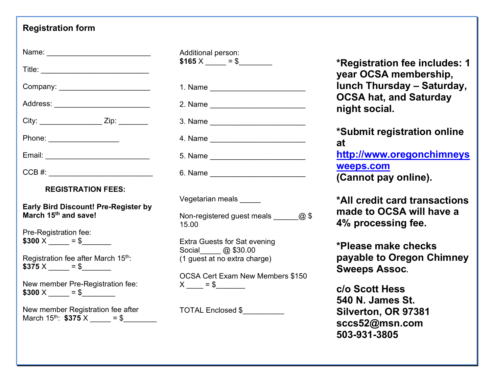## **Registration form**

| Name: ____________________________                                              |
|---------------------------------------------------------------------------------|
|                                                                                 |
|                                                                                 |
| Address: _____________________________                                          |
| City: ______________________ Zip: ________                                      |
| Phone: _____________________                                                    |
|                                                                                 |
|                                                                                 |
|                                                                                 |
| <b>REGISTRATION FEES:</b>                                                       |
| <b>Early Bird Discount! Pre-Register by</b><br>March 15 <sup>th</sup> and save! |
| Pre-Registration fee:<br>$$300 X \_ = $$                                        |
| Registration fee after March 15th:<br>$$375 X \_ = $$                           |
| New member Pre-Registration fee:<br>$$300 \times \_ = $$                        |

March 15<sup>th</sup>:  $$375 \times = $$ 

| Additional person:<br>$$165 X \_ = $$ |
|---------------------------------------|
| 1. Name _________________________     |
|                                       |
|                                       |
|                                       |
|                                       |
|                                       |
| Vegetarian meals _____                |

Non-registered guest meals  $\qquad \qquad \textcircled{a}$  \$ 15.00

Extra Guests for Sat evening Social\_\_\_\_\_ @ \$30.00 (1 guest at no extra charge)

OCSA Cert Exam New Members \$150  $X \_\_\_\_\ = \$ 

TOTAL Enclosed \$

**\*Registration fee includes: 1 year OCSA membership, lunch Thursday – Saturday, OCSA hat, and Saturday night social.**

**\*Submit registration online at http://www.oregonchimneys weeps.com (Cannot pay online).**

**\*All credit card transactions made to OCSA will have a 4% processing fee.**

**\*Please make checks payable to Oregon Chimney Sweeps Assoc.**

**c/o Scott Hess 540 N. James St. Silverton, OR 97381 sccs52@msn.com 503-931-3805**